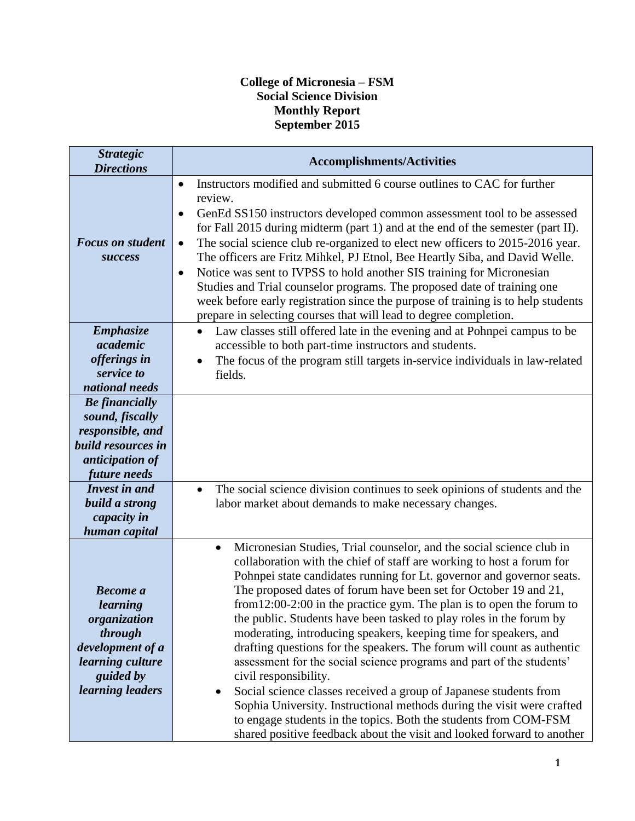## **College of Micronesia – FSM Social Science Division Monthly Report September 2015**

| <b>Strategic</b><br><b>Directions</b>                                                                                                                                                    | <b>Accomplishments/Activities</b>                                                                                                                                                                                                                                                                                                                                                                                                                                                                                                                                                                                                                                                                                                                                                                                                                                                                                                                                                                     |
|------------------------------------------------------------------------------------------------------------------------------------------------------------------------------------------|-------------------------------------------------------------------------------------------------------------------------------------------------------------------------------------------------------------------------------------------------------------------------------------------------------------------------------------------------------------------------------------------------------------------------------------------------------------------------------------------------------------------------------------------------------------------------------------------------------------------------------------------------------------------------------------------------------------------------------------------------------------------------------------------------------------------------------------------------------------------------------------------------------------------------------------------------------------------------------------------------------|
| <b>Focus on student</b><br><b>Success</b>                                                                                                                                                | Instructors modified and submitted 6 course outlines to CAC for further<br>$\bullet$<br>review.<br>GenEd SS150 instructors developed common assessment tool to be assessed<br>$\bullet$<br>for Fall 2015 during midterm (part 1) and at the end of the semester (part II).<br>The social science club re-organized to elect new officers to 2015-2016 year.<br>$\bullet$<br>The officers are Fritz Mihkel, PJ Etnol, Bee Heartly Siba, and David Welle.<br>Notice was sent to IVPSS to hold another SIS training for Micronesian<br>$\bullet$<br>Studies and Trial counselor programs. The proposed date of training one<br>week before early registration since the purpose of training is to help students<br>prepare in selecting courses that will lead to degree completion.                                                                                                                                                                                                                     |
| <b>Emphasize</b><br>academic<br>offerings in<br>service to<br>national needs                                                                                                             | Law classes still offered late in the evening and at Pohnpei campus to be<br>$\bullet$<br>accessible to both part-time instructors and students.<br>The focus of the program still targets in-service individuals in law-related<br>fields.                                                                                                                                                                                                                                                                                                                                                                                                                                                                                                                                                                                                                                                                                                                                                           |
| <b>Be</b> financially<br>sound, fiscally<br>responsible, and<br>build resources in<br>anticipation of<br>future needs<br>Invest in and<br>build a strong<br>capacity in<br>human capital | The social science division continues to seek opinions of students and the<br>labor market about demands to make necessary changes.                                                                                                                                                                                                                                                                                                                                                                                                                                                                                                                                                                                                                                                                                                                                                                                                                                                                   |
| <b>Become</b> a<br>learning<br>organization<br>through<br>development of a<br>learning culture<br>guided by<br>learning leaders                                                          | Micronesian Studies, Trial counselor, and the social science club in<br>$\bullet$<br>collaboration with the chief of staff are working to host a forum for<br>Pohnpei state candidates running for Lt. governor and governor seats.<br>The proposed dates of forum have been set for October 19 and 21,<br>from $12:00-2:00$ in the practice gym. The plan is to open the forum to<br>the public. Students have been tasked to play roles in the forum by<br>moderating, introducing speakers, keeping time for speakers, and<br>drafting questions for the speakers. The forum will count as authentic<br>assessment for the social science programs and part of the students'<br>civil responsibility.<br>Social science classes received a group of Japanese students from<br>Sophia University. Instructional methods during the visit were crafted<br>to engage students in the topics. Both the students from COM-FSM<br>shared positive feedback about the visit and looked forward to another |